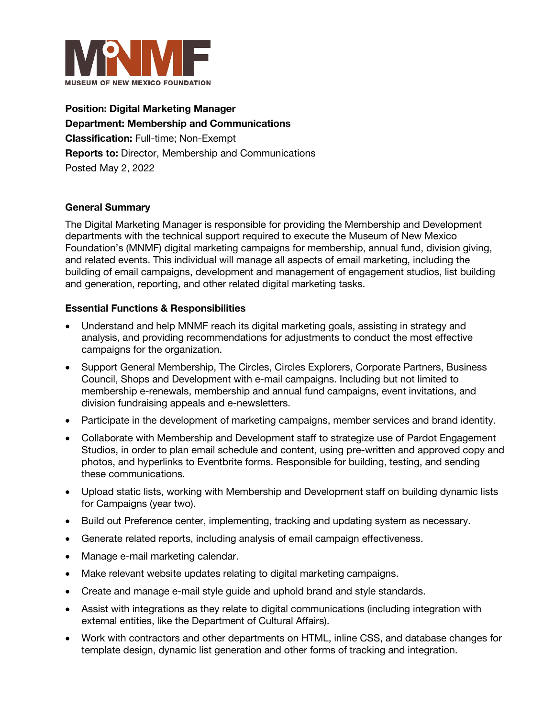

**Position: Digital Marketing Manager Department: Membership and Communications Classification:** Full-time; Non-Exempt **Reports to:** Director, Membership and Communications Posted May 2, 2022

## **General Summary**

The Digital Marketing Manager is responsible for providing the Membership and Development departments with the technical support required to execute the Museum of New Mexico Foundation's (MNMF) digital marketing campaigns for membership, annual fund, division giving, and related events. This individual will manage all aspects of email marketing, including the building of email campaigns, development and management of engagement studios, list building and generation, reporting, and other related digital marketing tasks.

## **Essential Functions & Responsibilities**

- Understand and help MNMF reach its digital marketing goals, assisting in strategy and analysis, and providing recommendations for adjustments to conduct the most effective campaigns for the organization.
- Support General Membership, The Circles, Circles Explorers, Corporate Partners, Business Council, Shops and Development with e-mail campaigns. Including but not limited to membership e-renewals, membership and annual fund campaigns, event invitations, and division fundraising appeals and e-newsletters.
- Participate in the development of marketing campaigns, member services and brand identity.
- Collaborate with Membership and Development staff to strategize use of Pardot Engagement Studios, in order to plan email schedule and content, using pre-written and approved copy and photos, and hyperlinks to Eventbrite forms. Responsible for building, testing, and sending these communications.
- Upload static lists, working with Membership and Development staff on building dynamic lists for Campaigns (year two).
- Build out Preference center, implementing, tracking and updating system as necessary.
- Generate related reports, including analysis of email campaign effectiveness.
- Manage e-mail marketing calendar.
- Make relevant website updates relating to digital marketing campaigns.
- Create and manage e-mail style guide and uphold brand and style standards.
- Assist with integrations as they relate to digital communications (including integration with external entities, like the Department of Cultural Affairs).
- Work with contractors and other departments on HTML, inline CSS, and database changes for template design, dynamic list generation and other forms of tracking and integration.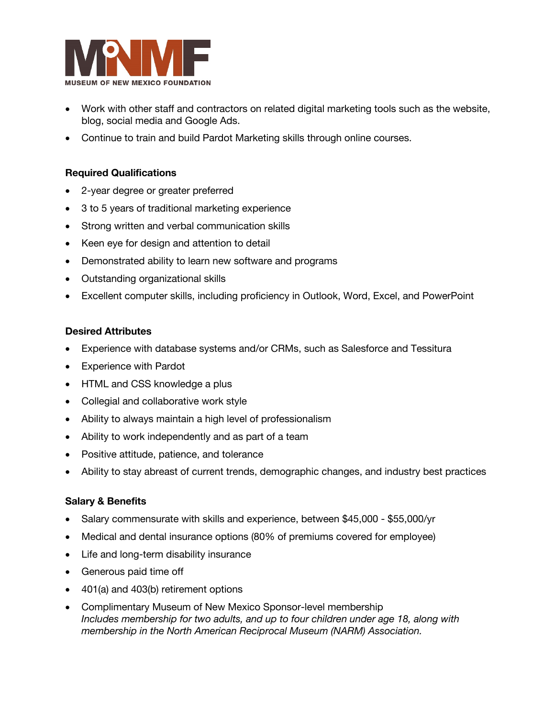

- Work with other staff and contractors on related digital marketing tools such as the website, blog, social media and Google Ads.
- Continue to train and build Pardot Marketing skills through online courses.

### **Required Qualifications**

- 2-year degree or greater preferred
- 3 to 5 years of traditional marketing experience
- Strong written and verbal communication skills
- Keen eye for design and attention to detail
- Demonstrated ability to learn new software and programs
- Outstanding organizational skills
- Excellent computer skills, including proficiency in Outlook, Word, Excel, and PowerPoint

#### **Desired Attributes**

- Experience with database systems and/or CRMs, such as Salesforce and Tessitura
- **Experience with Pardot**
- HTML and CSS knowledge a plus
- Collegial and collaborative work style
- Ability to always maintain a high level of professionalism
- Ability to work independently and as part of a team
- Positive attitude, patience, and tolerance
- Ability to stay abreast of current trends, demographic changes, and industry best practices

#### **Salary & Benefits**

- Salary commensurate with skills and experience, between \$45,000 \$55,000/yr
- Medical and dental insurance options (80% of premiums covered for employee)
- Life and long-term disability insurance
- Generous paid time off
- 401(a) and 403(b) retirement options
- Complimentary Museum of New Mexico Sponsor-level membership *Includes membership for two adults, and up to four children under age 18, along with membership in the North American Reciprocal Museum (NARM) Association.*